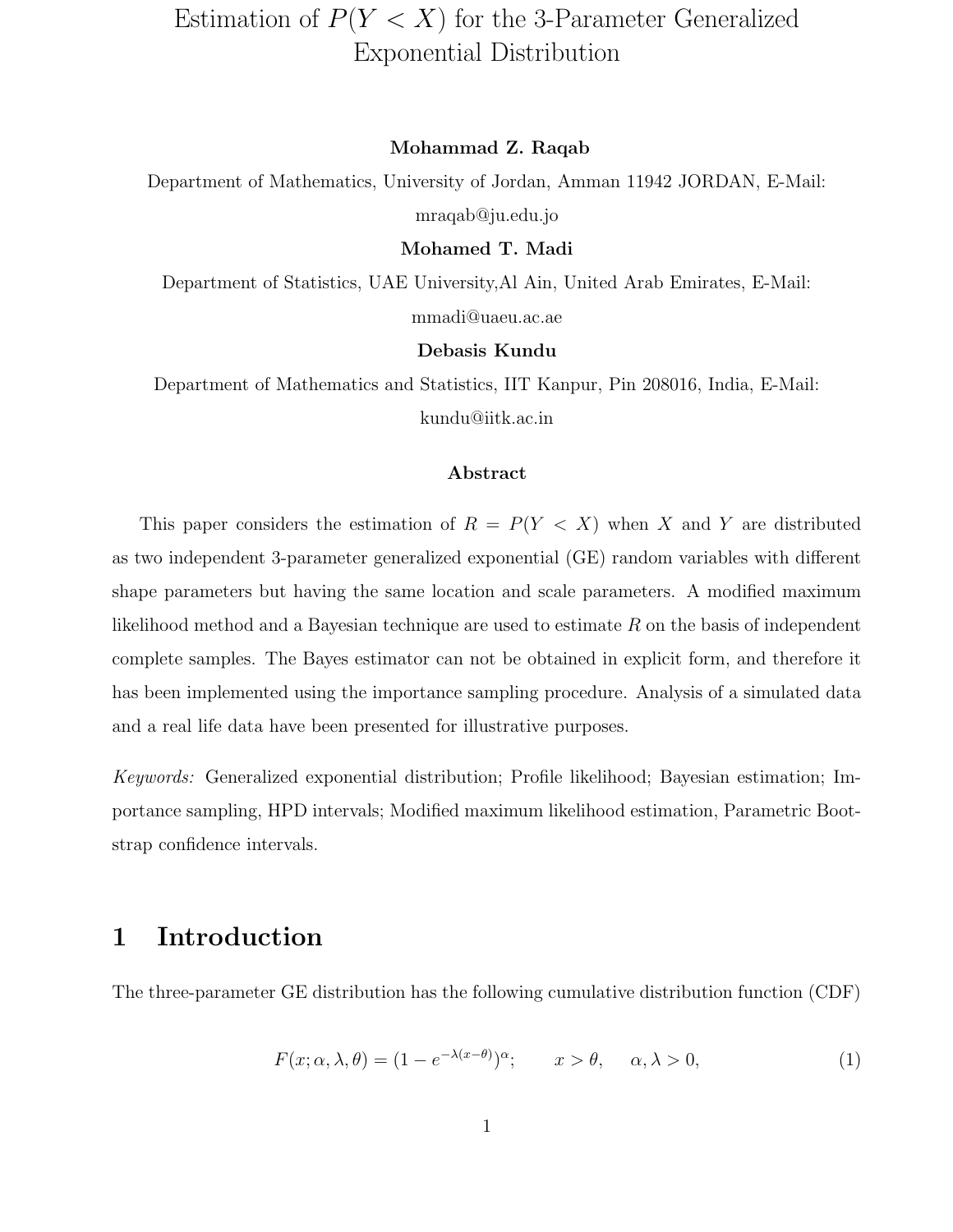# Estimation of  $P(Y < X)$  for the 3-Parameter Generalized Exponential Distribution

#### Mohammad Z. Raqab

Department of Mathematics, University of Jordan, Amman 11942 JORDAN, E-Mail: mraqab@ju.edu.jo

#### Mohamed T. Madi

Department of Statistics, UAE University,Al Ain, United Arab Emirates, E-Mail: mmadi@uaeu.ac.ae

#### Debasis Kundu

Department of Mathematics and Statistics, IIT Kanpur, Pin 208016, India, E-Mail: kundu@iitk.ac.in

#### Abstract

This paper considers the estimation of  $R = P(Y < X)$  when X and Y are distributed as two independent 3-parameter generalized exponential (GE) random variables with different shape parameters but having the same location and scale parameters. A modified maximum likelihood method and a Bayesian technique are used to estimate R on the basis of independent complete samples. The Bayes estimator can not be obtained in explicit form, and therefore it has been implemented using the importance sampling procedure. Analysis of a simulated data and a real life data have been presented for illustrative purposes.

Keywords: Generalized exponential distribution; Profile likelihood; Bayesian estimation; Importance sampling, HPD intervals; Modified maximum likelihood estimation, Parametric Bootstrap confidence intervals.

## 1 Introduction

The three-parameter GE distribution has the following cumulative distribution function (CDF)

$$
F(x; \alpha, \lambda, \theta) = (1 - e^{-\lambda(x - \theta)})^{\alpha}; \qquad x > \theta, \quad \alpha, \lambda > 0,
$$
 (1)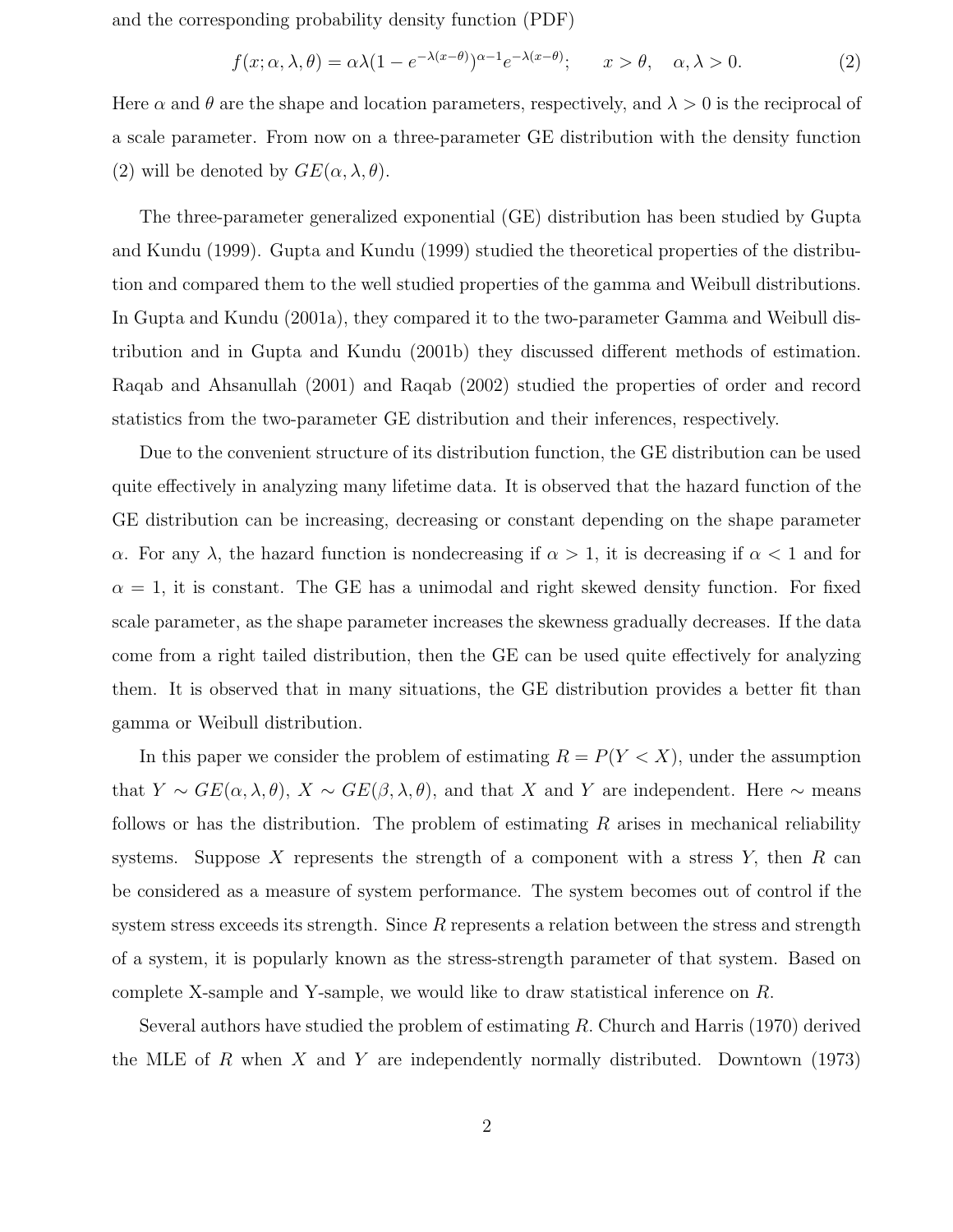and the corresponding probability density function (PDF)

$$
f(x; \alpha, \lambda, \theta) = \alpha \lambda (1 - e^{-\lambda(x - \theta)})^{\alpha - 1} e^{-\lambda(x - \theta)}; \qquad x > \theta, \quad \alpha, \lambda > 0.
$$
 (2)

Here  $\alpha$  and  $\theta$  are the shape and location parameters, respectively, and  $\lambda > 0$  is the reciprocal of a scale parameter. From now on a three-parameter GE distribution with the density function (2) will be denoted by  $GE(\alpha, \lambda, \theta)$ .

The three-parameter generalized exponential (GE) distribution has been studied by Gupta and Kundu (1999). Gupta and Kundu (1999) studied the theoretical properties of the distribution and compared them to the well studied properties of the gamma and Weibull distributions. In Gupta and Kundu (2001a), they compared it to the two-parameter Gamma and Weibull distribution and in Gupta and Kundu (2001b) they discussed different methods of estimation. Raqab and Ahsanullah (2001) and Raqab (2002) studied the properties of order and record statistics from the two-parameter GE distribution and their inferences, respectively.

Due to the convenient structure of its distribution function, the GE distribution can be used quite effectively in analyzing many lifetime data. It is observed that the hazard function of the GE distribution can be increasing, decreasing or constant depending on the shape parameter α. For any  $\lambda$ , the hazard function is nondecreasing if  $\alpha > 1$ , it is decreasing if  $\alpha < 1$  and for  $\alpha = 1$ , it is constant. The GE has a unimodal and right skewed density function. For fixed scale parameter, as the shape parameter increases the skewness gradually decreases. If the data come from a right tailed distribution, then the GE can be used quite effectively for analyzing them. It is observed that in many situations, the GE distribution provides a better fit than gamma or Weibull distribution.

In this paper we consider the problem of estimating  $R = P(Y < X)$ , under the assumption that  $Y \sim GE(\alpha, \lambda, \theta), X \sim GE(\beta, \lambda, \theta)$ , and that X and Y are independent. Here  $\sim$  means follows or has the distribution. The problem of estimating  $R$  arises in mechanical reliability systems. Suppose X represents the strength of a component with a stress  $Y$ , then  $R$  can be considered as a measure of system performance. The system becomes out of control if the system stress exceeds its strength. Since  $R$  represents a relation between the stress and strength of a system, it is popularly known as the stress-strength parameter of that system. Based on complete X-sample and Y-sample, we would like to draw statistical inference on R.

Several authors have studied the problem of estimating  $R$ . Church and Harris (1970) derived the MLE of R when X and Y are independently normally distributed. Downtown  $(1973)$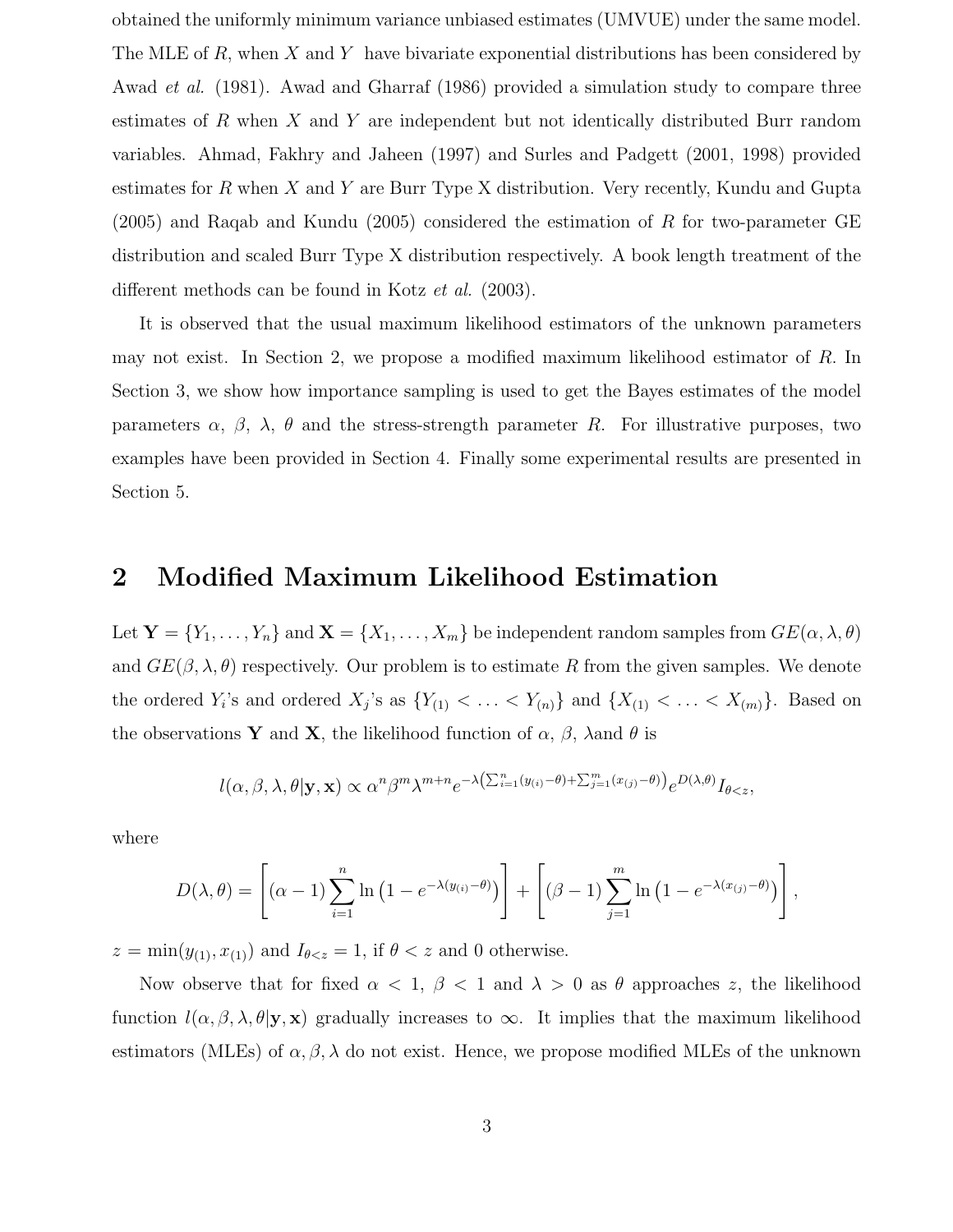obtained the uniformly minimum variance unbiased estimates (UMVUE) under the same model. The MLE of R, when X and Y have bivariate exponential distributions has been considered by Awad et al. (1981). Awad and Gharraf (1986) provided a simulation study to compare three estimates of R when X and Y are independent but not identically distributed Burr random variables. Ahmad, Fakhry and Jaheen (1997) and Surles and Padgett (2001, 1998) provided estimates for R when X and Y are Burr Type X distribution. Very recently, Kundu and Gupta  $(2005)$  and Raqab and Kundu  $(2005)$  considered the estimation of R for two-parameter GE distribution and scaled Burr Type X distribution respectively. A book length treatment of the different methods can be found in Kotz et al. (2003).

It is observed that the usual maximum likelihood estimators of the unknown parameters may not exist. In Section 2, we propose a modified maximum likelihood estimator of R. In Section 3, we show how importance sampling is used to get the Bayes estimates of the model parameters  $\alpha$ ,  $\beta$ ,  $\lambda$ ,  $\theta$  and the stress-strength parameter R. For illustrative purposes, two examples have been provided in Section 4. Finally some experimental results are presented in Section 5.

## 2 Modified Maximum Likelihood Estimation

Let  $\mathbf{Y} = \{Y_1, \ldots, Y_n\}$  and  $\mathbf{X} = \{X_1, \ldots, X_m\}$  be independent random samples from  $GE(\alpha, \lambda, \theta)$ and  $GE(\beta, \lambda, \theta)$  respectively. Our problem is to estimate R from the given samples. We denote the ordered  $Y_i$ 's and ordered  $X_j$ 's as  $\{Y_{(1)} \lt \ldots \lt Y_{(n)}\}$  and  $\{X_{(1)} \lt \ldots \lt X_{(m)}\}$ . Based on the observations Y and X, the likelihood function of  $\alpha$ ,  $\beta$ ,  $\lambda$  and  $\theta$  is

$$
l(\alpha,\beta,\lambda,\theta|\mathbf{y},\mathbf{x}) \propto \alpha^n \beta^m \lambda^{m+n} e^{-\lambda \left(\sum_{i=1}^n (y_{(i)}-\theta)+\sum_{j=1}^m (x_{(j)}-\theta)\right)} e^{D(\lambda,\theta)} I_{\theta
$$

where

$$
D(\lambda,\theta) = \left[ (\alpha - 1) \sum_{i=1}^{n} \ln(1 - e^{-\lambda(y_{(i)} - \theta)}) \right] + \left[ (\beta - 1) \sum_{j=1}^{m} \ln(1 - e^{-\lambda(x_{(j)} - \theta)}) \right],
$$

 $z = \min(y_{(1)}, x_{(1)})$  and  $I_{\theta < z} = 1$ , if  $\theta < z$  and 0 otherwise.

Now observe that for fixed  $\alpha < 1$ ,  $\beta < 1$  and  $\lambda > 0$  as  $\theta$  approaches z, the likelihood function  $l(\alpha, \beta, \lambda, \theta | \mathbf{y}, \mathbf{x})$  gradually increases to  $\infty$ . It implies that the maximum likelihood estimators (MLEs) of  $\alpha, \beta, \lambda$  do not exist. Hence, we propose modified MLEs of the unknown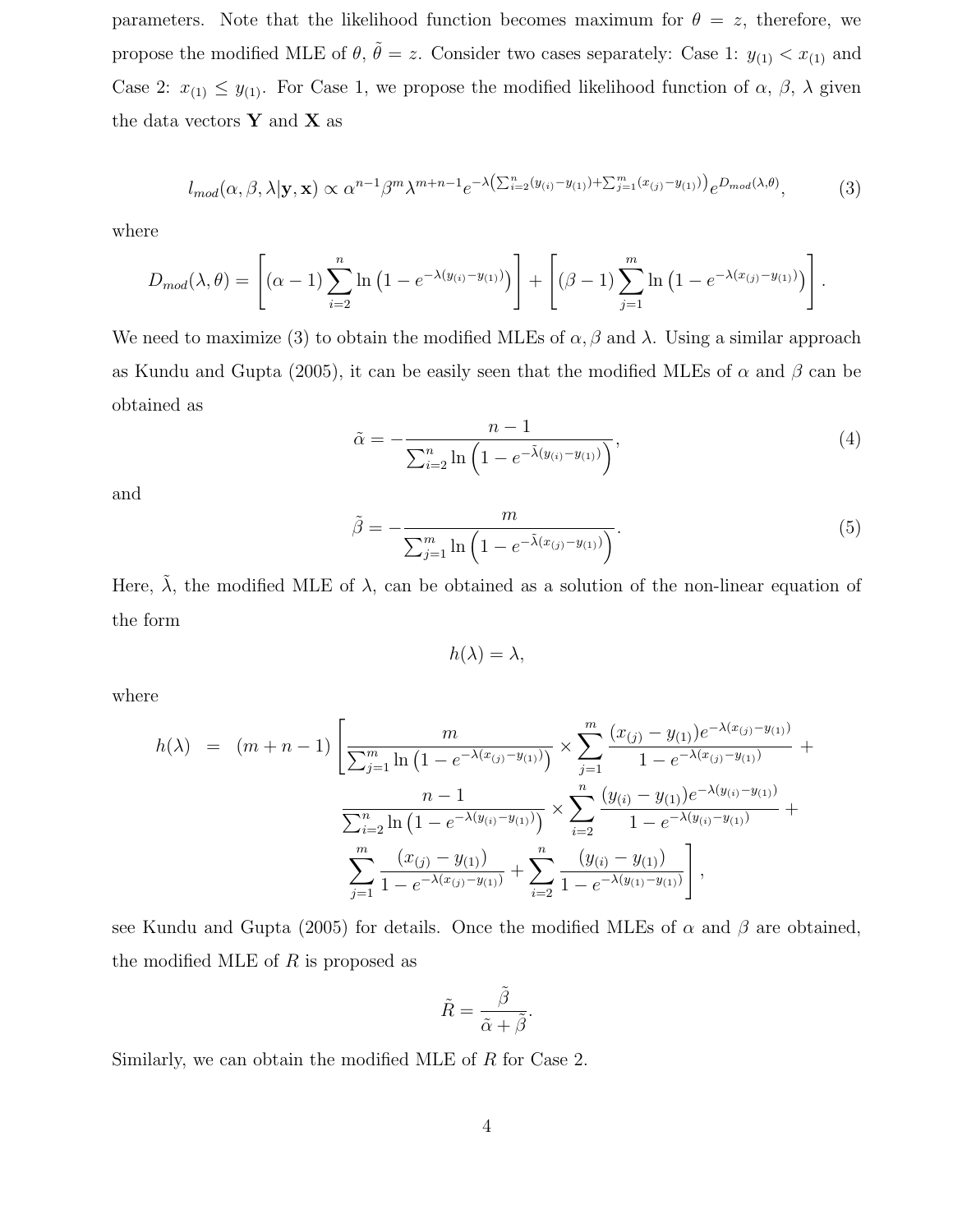parameters. Note that the likelihood function becomes maximum for  $\theta = z$ , therefore, we propose the modified MLE of  $\theta$ ,  $\tilde{\theta} = z$ . Consider two cases separately: Case 1:  $y_{(1)} < x_{(1)}$  and Case 2:  $x_{(1)} \leq y_{(1)}$ . For Case 1, we propose the modified likelihood function of  $\alpha$ ,  $\beta$ ,  $\lambda$  given the data vectors  $\mathbf{Y}$  and  $\mathbf{X}$  as

$$
l_{mod}(\alpha,\beta,\lambda|\mathbf{y},\mathbf{x}) \propto \alpha^{n-1}\beta^m\lambda^{m+n-1}e^{-\lambda\left(\sum_{i=2}^n(y_{(i)}-y_{(1)})+\sum_{j=1}^m(x_{(j)}-y_{(1)})\right)}e^{D_{mod}(\lambda,\theta)},\tag{3}
$$

where

$$
D_{mod}(\lambda, \theta) = \left[ (\alpha - 1) \sum_{i=2}^{n} \ln (1 - e^{-\lambda(y_{(i)} - y_{(1)})}) \right] + \left[ (\beta - 1) \sum_{j=1}^{m} \ln (1 - e^{-\lambda(x_{(j)} - y_{(1)})}) \right].
$$

We need to maximize (3) to obtain the modified MLEs of  $\alpha$ ,  $\beta$  and  $\lambda$ . Using a similar approach as Kundu and Gupta (2005), it can be easily seen that the modified MLEs of  $\alpha$  and  $\beta$  can be obtained as

$$
\tilde{\alpha} = -\frac{n-1}{\sum_{i=2}^{n} \ln\left(1 - e^{-\tilde{\lambda}(y_{(i)} - y_{(1)})}\right)},\tag{4}
$$

and

$$
\tilde{\beta} = -\frac{m}{\sum_{j=1}^{m} \ln\left(1 - e^{-\tilde{\lambda}(x_{(j)} - y_{(1)})}\right)}.
$$
\n(5)

Here,  $\tilde{\lambda}$ , the modified MLE of  $\lambda$ , can be obtained as a solution of the non-linear equation of the form

$$
h(\lambda) = \lambda,
$$

where

$$
h(\lambda) = (m+n-1) \left[ \frac{m}{\sum_{j=1}^{m} \ln(1 - e^{-\lambda(x_{(j)} - y_{(1)})})} \times \sum_{j=1}^{m} \frac{(x_{(j)} - y_{(1)})e^{-\lambda(x_{(j)} - y_{(1)})}}{1 - e^{-\lambda(x_{(j)} - y_{(1)})}} + \frac{n-1}{\sum_{i=2}^{n} \ln(1 - e^{-\lambda(y_{(i)} - y_{(1)})})} \times \sum_{i=2}^{n} \frac{(y_{(i)} - y_{(1)})e^{-\lambda(y_{(i)} - y_{(1)})}}{1 - e^{-\lambda(y_{(i)} - y_{(1)})}} + \sum_{j=1}^{m} \frac{(x_{(j)} - y_{(1)})}{1 - e^{-\lambda(x_{(j)} - y_{(1)})}} + \sum_{i=2}^{n} \frac{(y_{(i)} - y_{(1)})}{1 - e^{-\lambda(y_{(1)} - y_{(1)})}} \right],
$$

see Kundu and Gupta (2005) for details. Once the modified MLEs of  $\alpha$  and  $\beta$  are obtained, the modified MLE of  $R$  is proposed as

$$
\tilde{R} = \frac{\tilde{\beta}}{\tilde{\alpha} + \tilde{\beta}}.
$$

Similarly, we can obtain the modified MLE of R for Case 2.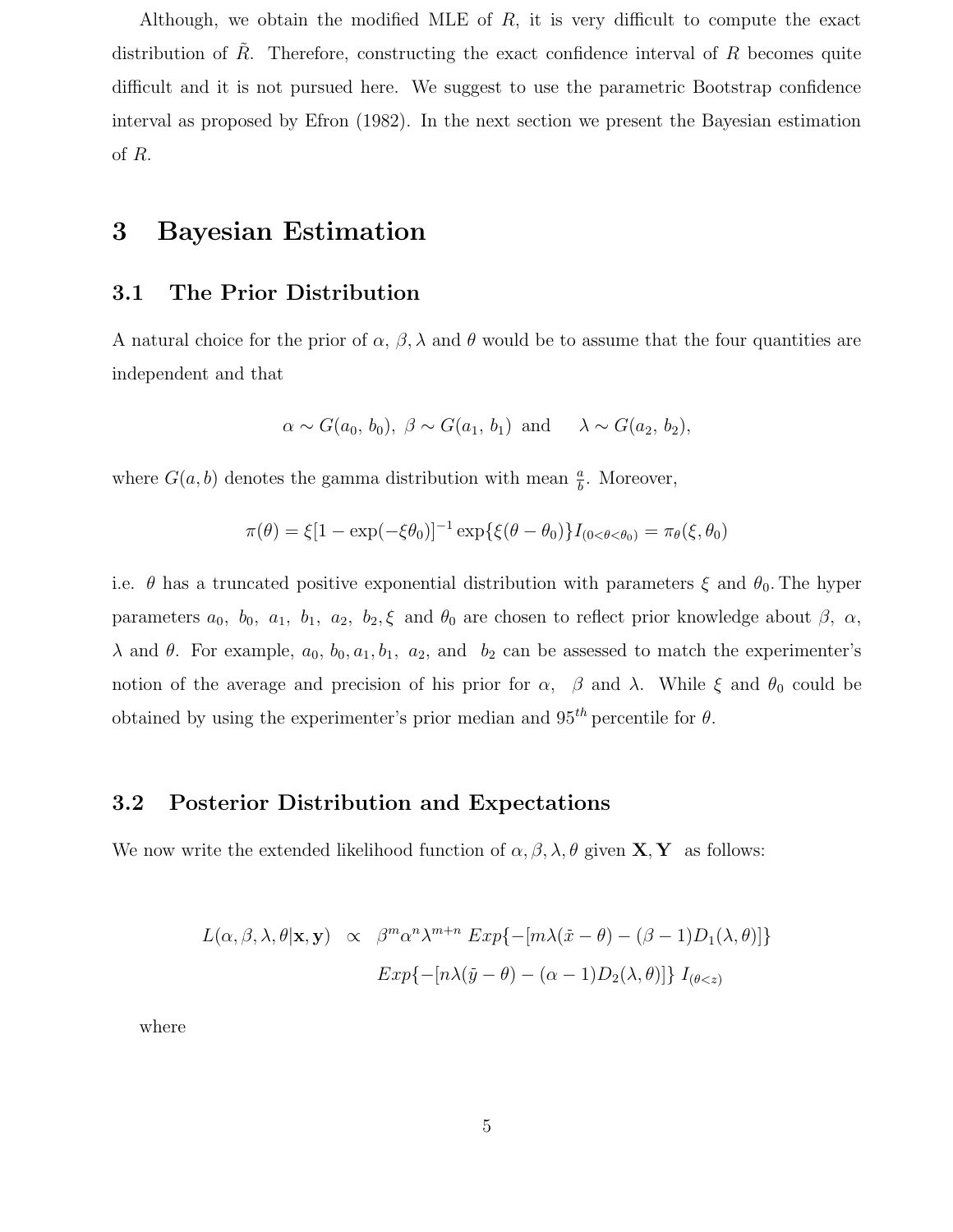Although, we obtain the modified MLE of  $R$ , it is very difficult to compute the exact distribution of  $R$ . Therefore, constructing the exact confidence interval of  $R$  becomes quite difficult and it is not pursued here. We suggest to use the parametric Bootstrap confidence interval as proposed by Efron (1982). In the next section we present the Bayesian estimation of R.

## 3 Bayesian Estimation

### 3.1 The Prior Distribution

A natural choice for the prior of  $\alpha$ ,  $\beta$ ,  $\lambda$  and  $\theta$  would be to assume that the four quantities are independent and that

$$
\alpha \sim G(a_0, b_0), \ \beta \sim G(a_1, b_1)
$$
 and  $\lambda \sim G(a_2, b_2)$ ,

where  $G(a, b)$  denotes the gamma distribution with mean  $\frac{a}{b}$ . Moreover,

$$
\pi(\theta) = \xi [1 - \exp(-\xi \theta_0)]^{-1} \exp{\{\xi(\theta - \theta_0)\}} I_{(0 < \theta < \theta_0)} = \pi_{\theta}(\xi, \theta_0)
$$

i.e.  $\theta$  has a truncated positive exponential distribution with parameters  $\xi$  and  $\theta_0$ . The hyper parameters  $a_0$ ,  $b_0$ ,  $a_1$ ,  $b_1$ ,  $a_2$ ,  $b_2$ ,  $\xi$  and  $\theta_0$  are chosen to reflect prior knowledge about  $\beta$ ,  $\alpha$ ,  $λ$  and  $θ$ . For example,  $a_0$ ,  $b_0$ ,  $a_1$ ,  $b_1$ ,  $a_2$ , and  $b_2$  can be assessed to match the experimenter's notion of the average and precision of his prior for  $\alpha$ ,  $\beta$  and  $\lambda$ . While  $\xi$  and  $\theta_0$  could be obtained by using the experimenter's prior median and  $95<sup>th</sup>$  percentile for  $\theta$ .

### 3.2 Posterior Distribution and Expectations

We now write the extended likelihood function of  $\alpha, \beta, \lambda, \theta$  given  $X, Y$  as follows:

$$
L(\alpha, \beta, \lambda, \theta | \mathbf{x}, \mathbf{y}) \propto \beta^m \alpha^n \lambda^{m+n} \exp\{-[m\lambda(\bar{x} - \theta) - (\beta - 1)D_1(\lambda, \theta)]\}
$$

$$
Exp\{-[n\lambda(\bar{y} - \theta) - (\alpha - 1)D_2(\lambda, \theta)]\} I_{(\theta < z)}
$$

where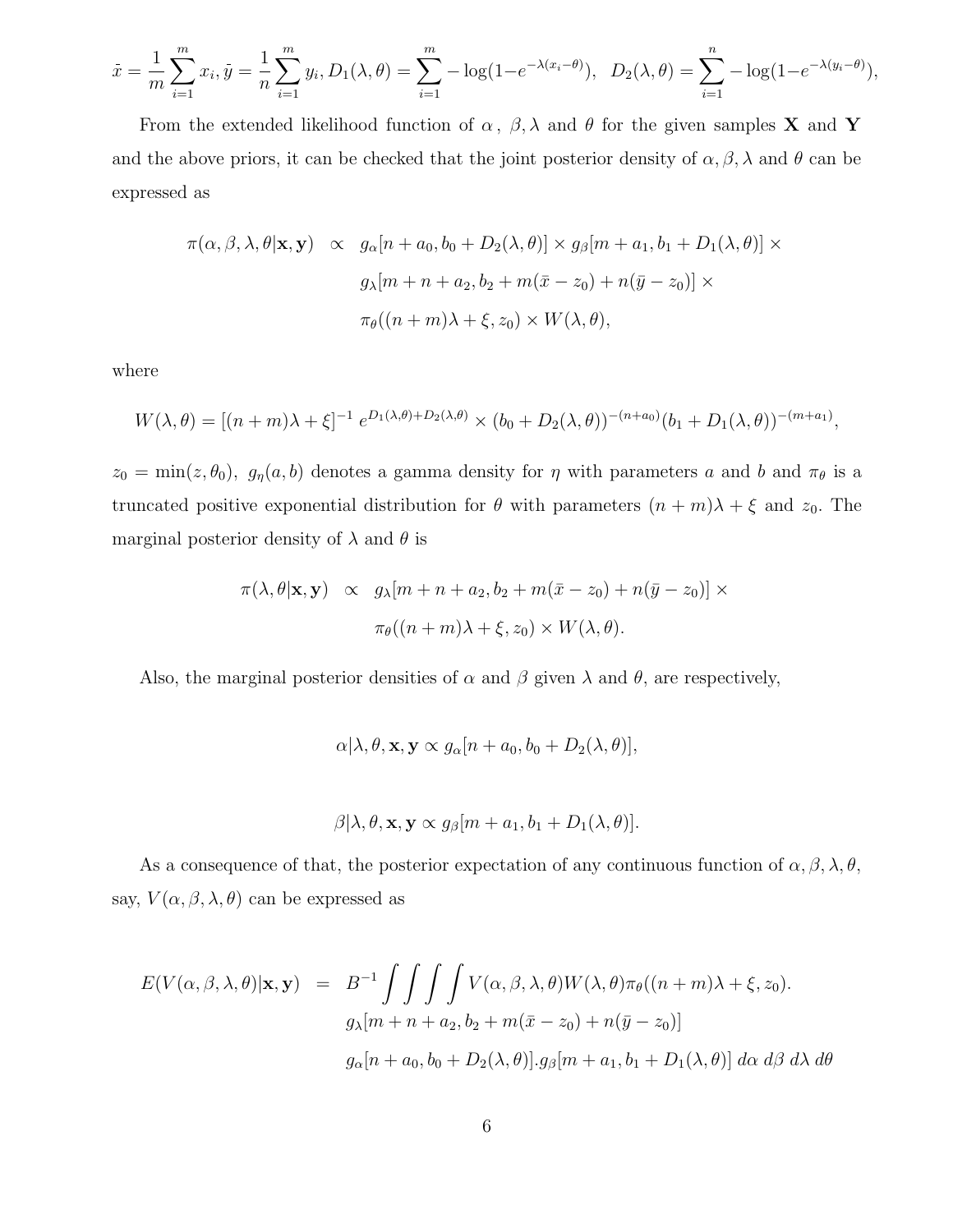$$
\bar{x} = \frac{1}{m} \sum_{i=1}^{m} x_i, \bar{y} = \frac{1}{n} \sum_{i=1}^{m} y_i, D_1(\lambda, \theta) = \sum_{i=1}^{m} -\log(1 - e^{-\lambda(x_i - \theta)}), \ D_2(\lambda, \theta) = \sum_{i=1}^{n} -\log(1 - e^{-\lambda(y_i - \theta)}),
$$

From the extended likelihood function of  $\alpha$ ,  $\beta$ ,  $\lambda$  and  $\theta$  for the given samples **X** and **Y** and the above priors, it can be checked that the joint posterior density of  $\alpha, \beta, \lambda$  and  $\theta$  can be expressed as

$$
\pi(\alpha, \beta, \lambda, \theta | \mathbf{x}, \mathbf{y}) \propto g_{\alpha}[n + a_0, b_0 + D_2(\lambda, \theta)] \times g_{\beta}[m + a_1, b_1 + D_1(\lambda, \theta)] \times
$$
  

$$
g_{\lambda}[m + n + a_2, b_2 + m(\bar{x} - z_0) + n(\bar{y} - z_0)] \times
$$
  

$$
\pi_{\theta}((n + m)\lambda + \xi, z_0) \times W(\lambda, \theta),
$$

where

$$
W(\lambda, \theta) = [(n + m)\lambda + \xi]^{-1} e^{D_1(\lambda, \theta) + D_2(\lambda, \theta)} \times (b_0 + D_2(\lambda, \theta))^{-(n + a_0)} (b_1 + D_1(\lambda, \theta))^{-(m + a_1)},
$$

 $z_0 = \min(z, \theta_0)$ ,  $g_\eta(a, b)$  denotes a gamma density for  $\eta$  with parameters a and b and  $\pi_\theta$  is a truncated positive exponential distribution for  $\theta$  with parameters  $(n + m)\lambda + \xi$  and  $z_0$ . The marginal posterior density of  $\lambda$  and  $\theta$  is

$$
\pi(\lambda, \theta | \mathbf{x}, \mathbf{y}) \propto g_{\lambda}[m + n + a_2, b_2 + m(\bar{x} - z_0) + n(\bar{y} - z_0)] \times
$$

$$
\pi_{\theta}((n + m)\lambda + \xi, z_0) \times W(\lambda, \theta).
$$

Also, the marginal posterior densities of  $\alpha$  and  $\beta$  given  $\lambda$  and  $\theta$ , are respectively,

$$
\alpha[\lambda, \theta, \mathbf{x}, \mathbf{y} \propto g_{\alpha}[n + a_0, b_0 + D_2(\lambda, \theta)],
$$

$$
\beta[\lambda, \theta, \mathbf{x}, \mathbf{y} \propto g_{\beta}[m + a_1, b_1 + D_1(\lambda, \theta)].
$$

As a consequence of that, the posterior expectation of any continuous function of  $\alpha, \beta, \lambda, \theta$ , say,  $V(\alpha, \beta, \lambda, \theta)$  can be expressed as

$$
E(V(\alpha, \beta, \lambda, \theta)|\mathbf{x}, \mathbf{y}) = B^{-1} \int \int \int \int V(\alpha, \beta, \lambda, \theta) W(\lambda, \theta) \pi_{\theta}((n+m)\lambda + \xi, z_0).
$$
  

$$
g_{\lambda}[m+n+a_2, b_2+m(\bar{x}-z_0)+n(\bar{y}-z_0)]
$$
  

$$
g_{\alpha}[n+a_0, b_0+D_2(\lambda, \theta)].g_{\beta}[m+a_1, b_1+D_1(\lambda, \theta)] d\alpha d\beta d\lambda d\theta
$$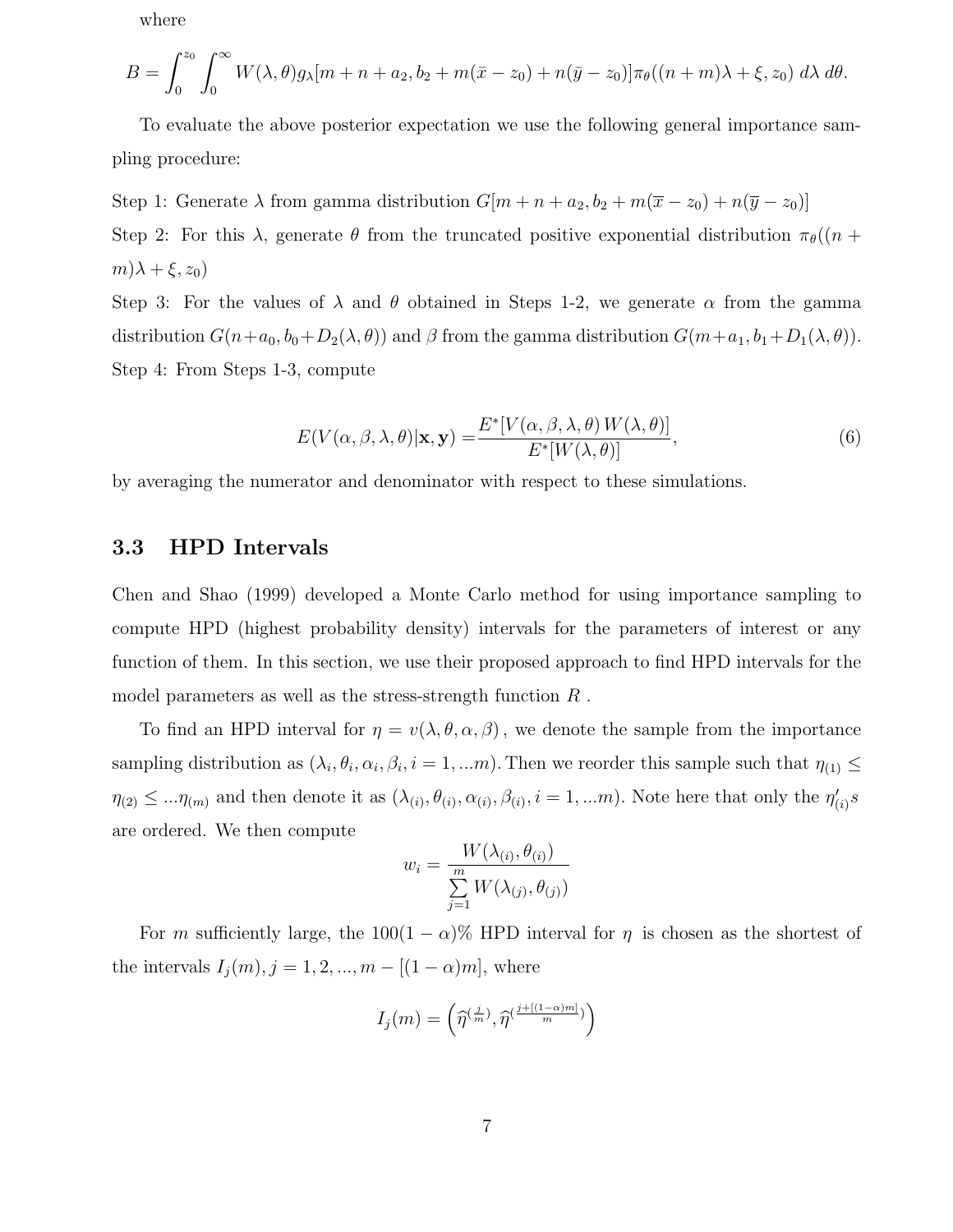where

$$
B=\int_0^{z_0}\int_0^\infty W(\lambda,\theta)g_\lambda[m+n+a_2,b_2+m(\bar{x}-z_0)+n(\bar{y}-z_0)]\pi_\theta((n+m)\lambda+\xi,z_0)\,d\lambda\,d\theta.
$$

To evaluate the above posterior expectation we use the following general importance sampling procedure:

Step 1: Generate  $\lambda$  from gamma distribution  $G[m + n + a_2, b_2 + m(\overline{x} - z_0) + n(\overline{y} - z_0)]$ Step 2: For this  $\lambda$ , generate  $\theta$  from the truncated positive exponential distribution  $\pi_{\theta}((n +$  $m)\lambda + \xi, z_0)$ 

Step 3: For the values of  $\lambda$  and  $\theta$  obtained in Steps 1-2, we generate  $\alpha$  from the gamma distribution  $G(n+a_0, b_0+D_2(\lambda, \theta))$  and  $\beta$  from the gamma distribution  $G(m+a_1, b_1+D_1(\lambda, \theta))$ . Step 4: From Steps 1-3, compute

$$
E(V(\alpha, \beta, \lambda, \theta)|\mathbf{x}, \mathbf{y}) = \frac{E^*[V(\alpha, \beta, \lambda, \theta) W(\lambda, \theta)]}{E^*[W(\lambda, \theta)]},
$$
\n(6)

by averaging the numerator and denominator with respect to these simulations.

### 3.3 HPD Intervals

Chen and Shao (1999) developed a Monte Carlo method for using importance sampling to compute HPD (highest probability density) intervals for the parameters of interest or any function of them. In this section, we use their proposed approach to find HPD intervals for the model parameters as well as the stress-strength function R .

To find an HPD interval for  $\eta = v(\lambda, \theta, \alpha, \beta)$ , we denote the sample from the importance sampling distribution as  $(\lambda_i, \theta_i, \alpha_i, \beta_i, i = 1, ...m)$ . Then we reorder this sample such that  $\eta_{(1)} \leq$  $\eta_{(2)} \leq \ldots \eta_{(m)}$  and then denote it as  $(\lambda_{(i)}, \theta_{(i)}, \alpha_{(i)}, \beta_{(i)}, i = 1, \ldots m)$ . Note here that only the  $\eta'_{(i)}$  $_{(i)}'s$ are ordered. We then compute

$$
w_i = \frac{W(\lambda_{(i)}, \theta_{(i)})}{\sum_{j=1}^{m} W(\lambda_{(j)}, \theta_{(j)})}
$$

For m sufficiently large, the  $100(1 - \alpha)$ % HPD interval for  $\eta$  is chosen as the shortest of the intervals  $I_j(m), j = 1, 2, ..., m - [(1 - \alpha)m]$ , where

$$
I_j(m) = \left(\widehat{\eta}^{(\frac{j}{m})}, \widehat{\eta}^{(\frac{j + [(1-\alpha)m]}{m})}\right)
$$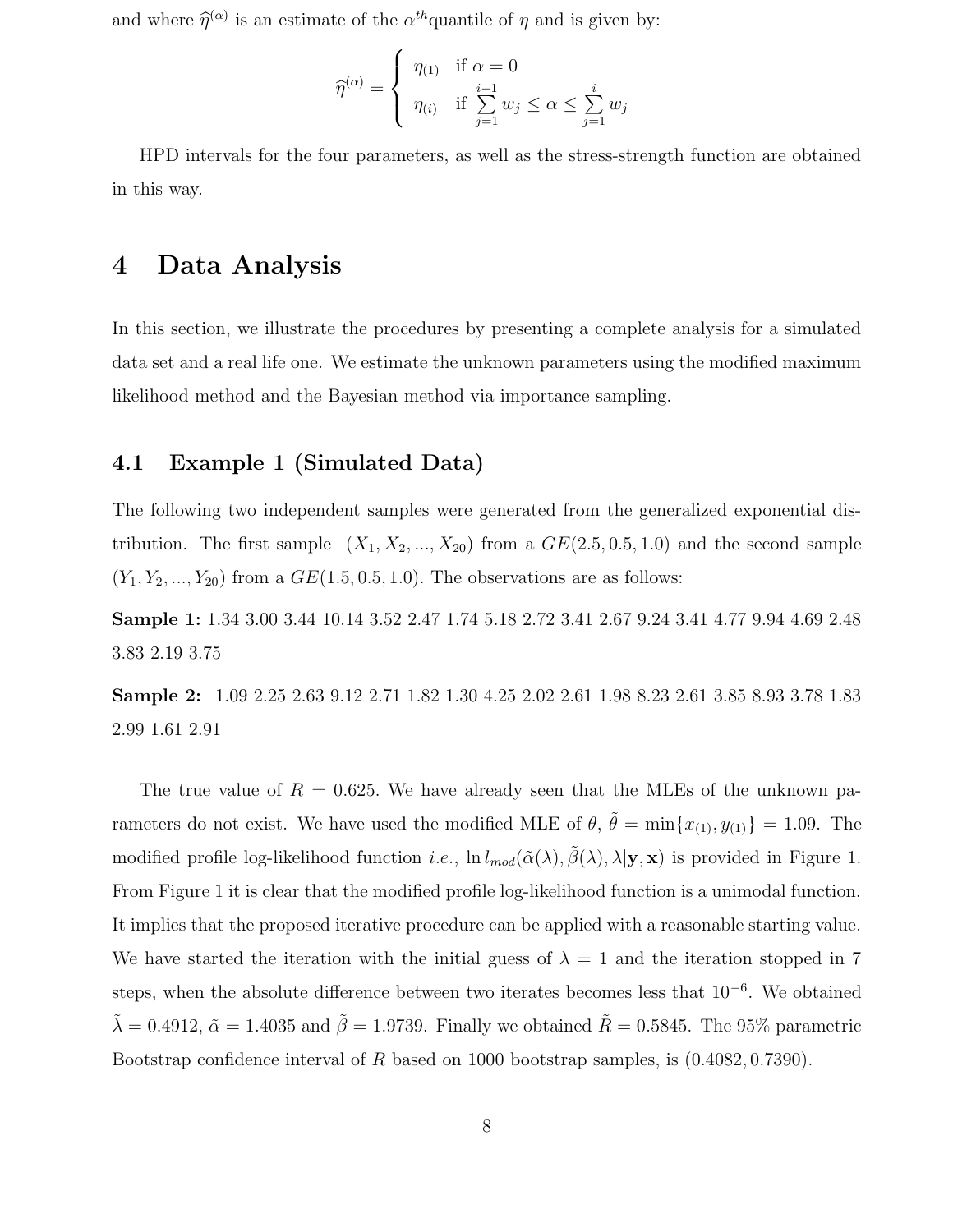and where  $\hat{\eta}^{(\alpha)}$  is an estimate of the  $\alpha^{th}$ quantile of  $\eta$  and is given by:

$$
\widehat{\eta}^{(\alpha)} = \begin{cases} \eta_{(1)} & \text{if } \alpha = 0 \\ \eta_{(i)} & \text{if } \sum_{j=1}^{i-1} w_j \le \alpha \le \sum_{j=1}^{i} w_j \end{cases}
$$

HPD intervals for the four parameters, as well as the stress-strength function are obtained in this way.

### 4 Data Analysis

In this section, we illustrate the procedures by presenting a complete analysis for a simulated data set and a real life one. We estimate the unknown parameters using the modified maximum likelihood method and the Bayesian method via importance sampling.

### 4.1 Example 1 (Simulated Data)

The following two independent samples were generated from the generalized exponential distribution. The first sample  $(X_1, X_2, ..., X_{20})$  from a  $GE(2.5, 0.5, 1.0)$  and the second sample  $(Y_1, Y_2, ..., Y_{20})$  from a  $GE(1.5, 0.5, 1.0)$ . The observations are as follows:

Sample 1: 1.34 3.00 3.44 10.14 3.52 2.47 1.74 5.18 2.72 3.41 2.67 9.24 3.41 4.77 9.94 4.69 2.48 3.83 2.19 3.75

Sample 2: 1.09 2.25 2.63 9.12 2.71 1.82 1.30 4.25 2.02 2.61 1.98 8.23 2.61 3.85 8.93 3.78 1.83 2.99 1.61 2.91

The true value of  $R = 0.625$ . We have already seen that the MLEs of the unknown parameters do not exist. We have used the modified MLE of  $\theta$ ,  $\tilde{\theta} = \min\{x_{(1)}, y_{(1)}\} = 1.09$ . The modified profile log-likelihood function *i.e.*,  $\ln l_{mod}(\tilde{\alpha}(\lambda), \tilde{\beta}(\lambda), \lambda | \mathbf{y}, \mathbf{x})$  is provided in Figure 1. From Figure 1 it is clear that the modified profile log-likelihood function is a unimodal function. It implies that the proposed iterative procedure can be applied with a reasonable starting value. We have started the iteration with the initial guess of  $\lambda = 1$  and the iteration stopped in 7 steps, when the absolute difference between two iterates becomes less that 10<sup>-6</sup>. We obtained  $\tilde{\lambda} = 0.4912, \tilde{\alpha} = 1.4035$  and  $\tilde{\beta} = 1.9739$ . Finally we obtained  $\tilde{R} = 0.5845$ . The 95% parametric Bootstrap confidence interval of R based on 1000 bootstrap samples, is (0.4082, 0.7390).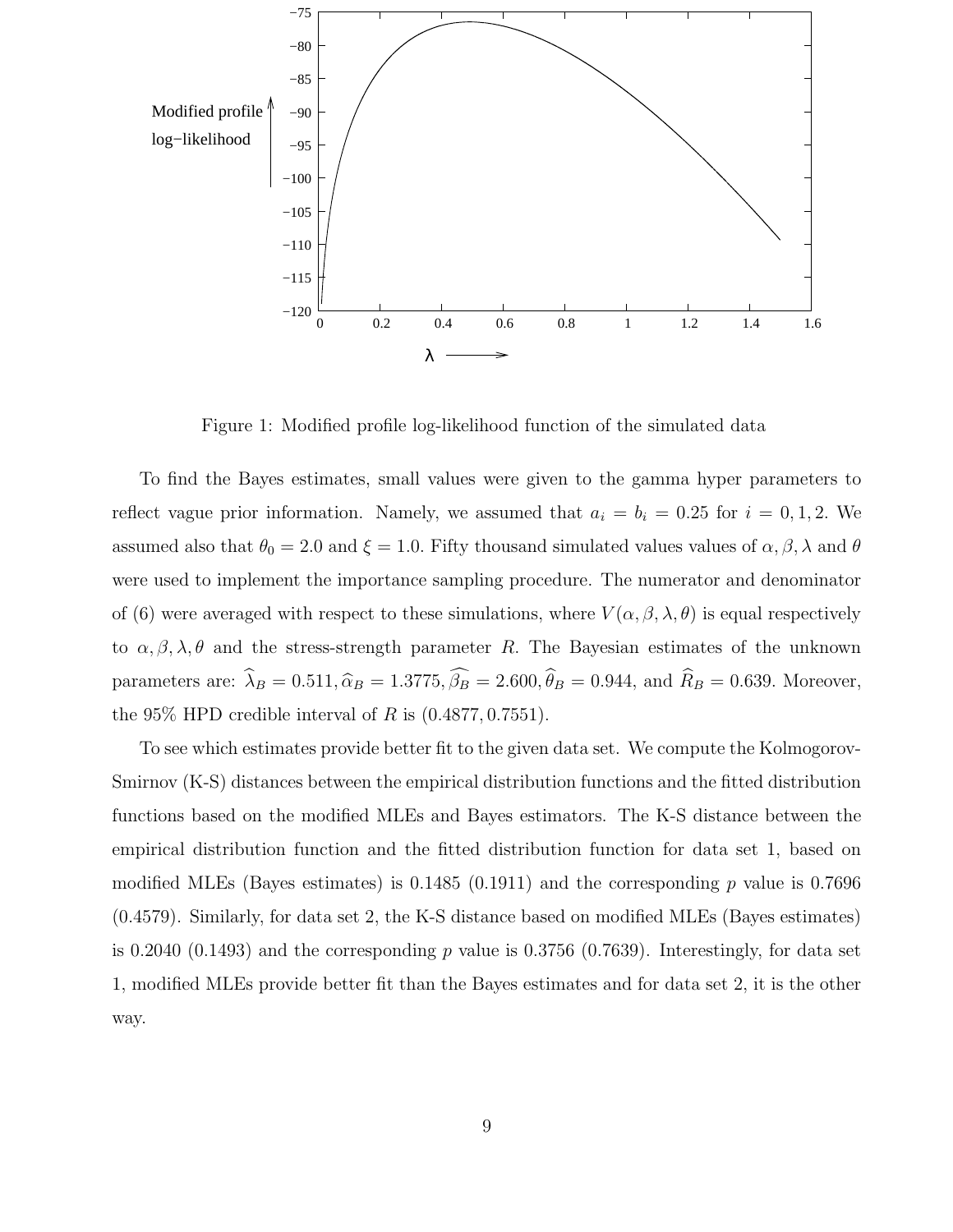

Figure 1: Modified profile log-likelihood function of the simulated data

To find the Bayes estimates, small values were given to the gamma hyper parameters to reflect vague prior information. Namely, we assumed that  $a_i = b_i = 0.25$  for  $i = 0, 1, 2$ . We assumed also that  $\theta_0 = 2.0$  and  $\xi = 1.0$ . Fifty thousand simulated values values of  $\alpha, \beta, \lambda$  and  $\theta$ were used to implement the importance sampling procedure. The numerator and denominator of (6) were averaged with respect to these simulations, where  $V(\alpha, \beta, \lambda, \theta)$  is equal respectively to  $\alpha, \beta, \lambda, \theta$  and the stress-strength parameter R. The Bayesian estimates of the unknown parameters are:  $\hat{\lambda}_B = 0.511, \hat{\alpha}_B = 1.3775, \hat{\beta}_B = 2.600, \hat{\theta}_B = 0.944$ , and  $\hat{R}_B = 0.639$ . Moreover, the 95% HPD credible interval of R is  $(0.4877, 0.7551)$ .

To see which estimates provide better fit to the given data set. We compute the Kolmogorov-Smirnov (K-S) distances between the empirical distribution functions and the fitted distribution functions based on the modified MLEs and Bayes estimators. The K-S distance between the empirical distribution function and the fitted distribution function for data set 1, based on modified MLEs (Bayes estimates) is  $0.1485$  (0.1911) and the corresponding p value is 0.7696 (0.4579). Similarly, for data set 2, the K-S distance based on modified MLEs (Bayes estimates) is 0.2040 (0.1493) and the corresponding p value is 0.3756 (0.7639). Interestingly, for data set 1, modified MLEs provide better fit than the Bayes estimates and for data set 2, it is the other way.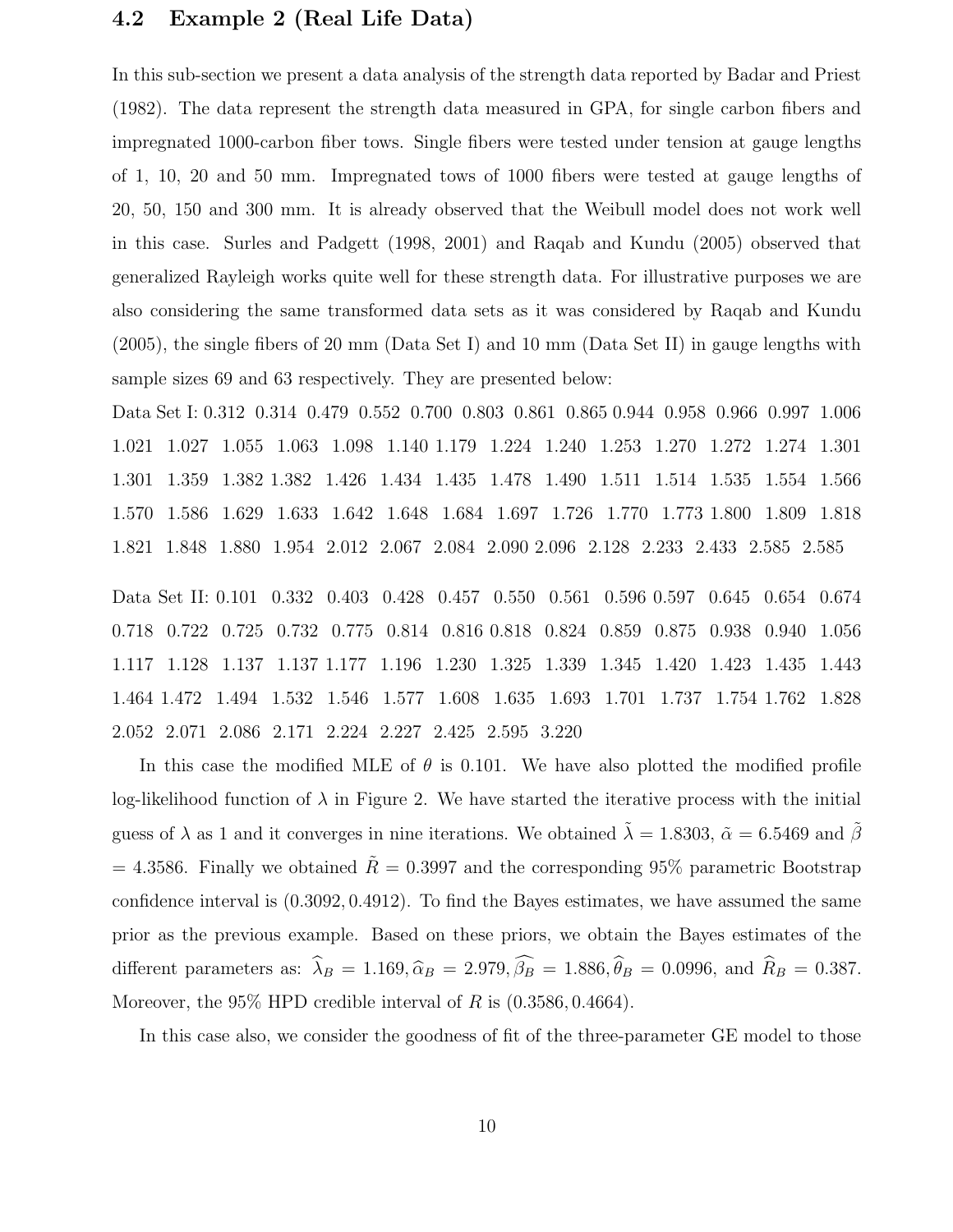### 4.2 Example 2 (Real Life Data)

In this sub-section we present a data analysis of the strength data reported by Badar and Priest (1982). The data represent the strength data measured in GPA, for single carbon fibers and impregnated 1000-carbon fiber tows. Single fibers were tested under tension at gauge lengths of 1, 10, 20 and 50 mm. Impregnated tows of 1000 fibers were tested at gauge lengths of 20, 50, 150 and 300 mm. It is already observed that the Weibull model does not work well in this case. Surles and Padgett (1998, 2001) and Raqab and Kundu (2005) observed that generalized Rayleigh works quite well for these strength data. For illustrative purposes we are also considering the same transformed data sets as it was considered by Raqab and Kundu (2005), the single fibers of 20 mm (Data Set I) and 10 mm (Data Set II) in gauge lengths with sample sizes 69 and 63 respectively. They are presented below:

Data Set I: 0.312 0.314 0.479 0.552 0.700 0.803 0.861 0.865 0.944 0.958 0.966 0.997 1.006 1.021 1.027 1.055 1.063 1.098 1.140 1.179 1.224 1.240 1.253 1.270 1.272 1.274 1.301 1.301 1.359 1.382 1.382 1.426 1.434 1.435 1.478 1.490 1.511 1.514 1.535 1.554 1.566 1.570 1.586 1.629 1.633 1.642 1.648 1.684 1.697 1.726 1.770 1.773 1.800 1.809 1.818 1.821 1.848 1.880 1.954 2.012 2.067 2.084 2.090 2.096 2.128 2.233 2.433 2.585 2.585

Data Set II: 0.101 0.332 0.403 0.428 0.457 0.550 0.561 0.596 0.597 0.645 0.654 0.674 0.718 0.722 0.725 0.732 0.775 0.814 0.816 0.818 0.824 0.859 0.875 0.938 0.940 1.056 1.117 1.128 1.137 1.137 1.177 1.196 1.230 1.325 1.339 1.345 1.420 1.423 1.435 1.443 1.464 1.472 1.494 1.532 1.546 1.577 1.608 1.635 1.693 1.701 1.737 1.754 1.762 1.828 2.052 2.071 2.086 2.171 2.224 2.227 2.425 2.595 3.220

In this case the modified MLE of  $\theta$  is 0.101. We have also plotted the modified profile log-likelihood function of  $\lambda$  in Figure 2. We have started the iterative process with the initial guess of  $\lambda$  as 1 and it converges in nine iterations. We obtained  $\tilde{\lambda} = 1.8303$ ,  $\tilde{\alpha} = 6.5469$  and  $\tilde{\beta}$  $= 4.3586$ . Finally we obtained  $\tilde{R} = 0.3997$  and the corresponding 95% parametric Bootstrap confidence interval is (0.3092, 0.4912). To find the Bayes estimates, we have assumed the same prior as the previous example. Based on these priors, we obtain the Bayes estimates of the different parameters as:  $\hat{\lambda}_B = 1.169, \hat{\alpha}_B = 2.979, \hat{\beta}_B = 1.886, \hat{\theta}_B = 0.0996$ , and  $\hat{R}_B = 0.387$ . Moreover, the  $95\%$  HPD credible interval of R is  $(0.3586, 0.4664)$ .

In this case also, we consider the goodness of fit of the three-parameter GE model to those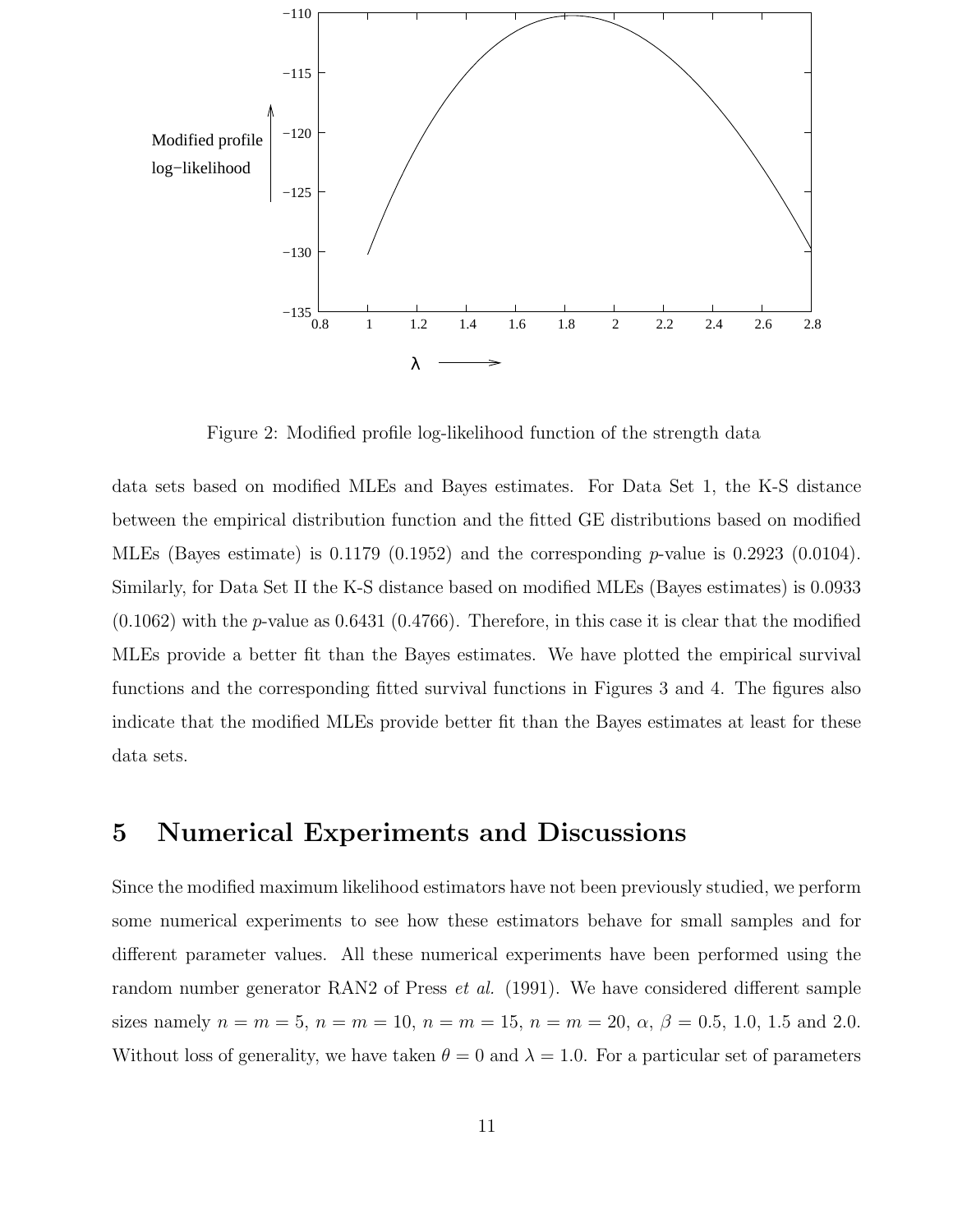

Figure 2: Modified profile log-likelihood function of the strength data

data sets based on modified MLEs and Bayes estimates. For Data Set 1, the K-S distance between the empirical distribution function and the fitted GE distributions based on modified MLEs (Bayes estimate) is  $0.1179$  ( $0.1952$ ) and the corresponding p-value is  $0.2923$  ( $0.0104$ ). Similarly, for Data Set II the K-S distance based on modified MLEs (Bayes estimates) is 0.0933  $(0.1062)$  with the p-value as  $0.6431$   $(0.4766)$ . Therefore, in this case it is clear that the modified MLEs provide a better fit than the Bayes estimates. We have plotted the empirical survival functions and the corresponding fitted survival functions in Figures 3 and 4. The figures also indicate that the modified MLEs provide better fit than the Bayes estimates at least for these data sets.

## 5 Numerical Experiments and Discussions

Since the modified maximum likelihood estimators have not been previously studied, we perform some numerical experiments to see how these estimators behave for small samples and for different parameter values. All these numerical experiments have been performed using the random number generator RAN2 of Press *et al.* (1991). We have considered different sample sizes namely  $n = m = 5$ ,  $n = m = 10$ ,  $n = m = 15$ ,  $n = m = 20$ ,  $\alpha$ ,  $\beta = 0.5$ , 1.0, 1.5 and 2.0. Without loss of generality, we have taken  $\theta = 0$  and  $\lambda = 1.0$ . For a particular set of parameters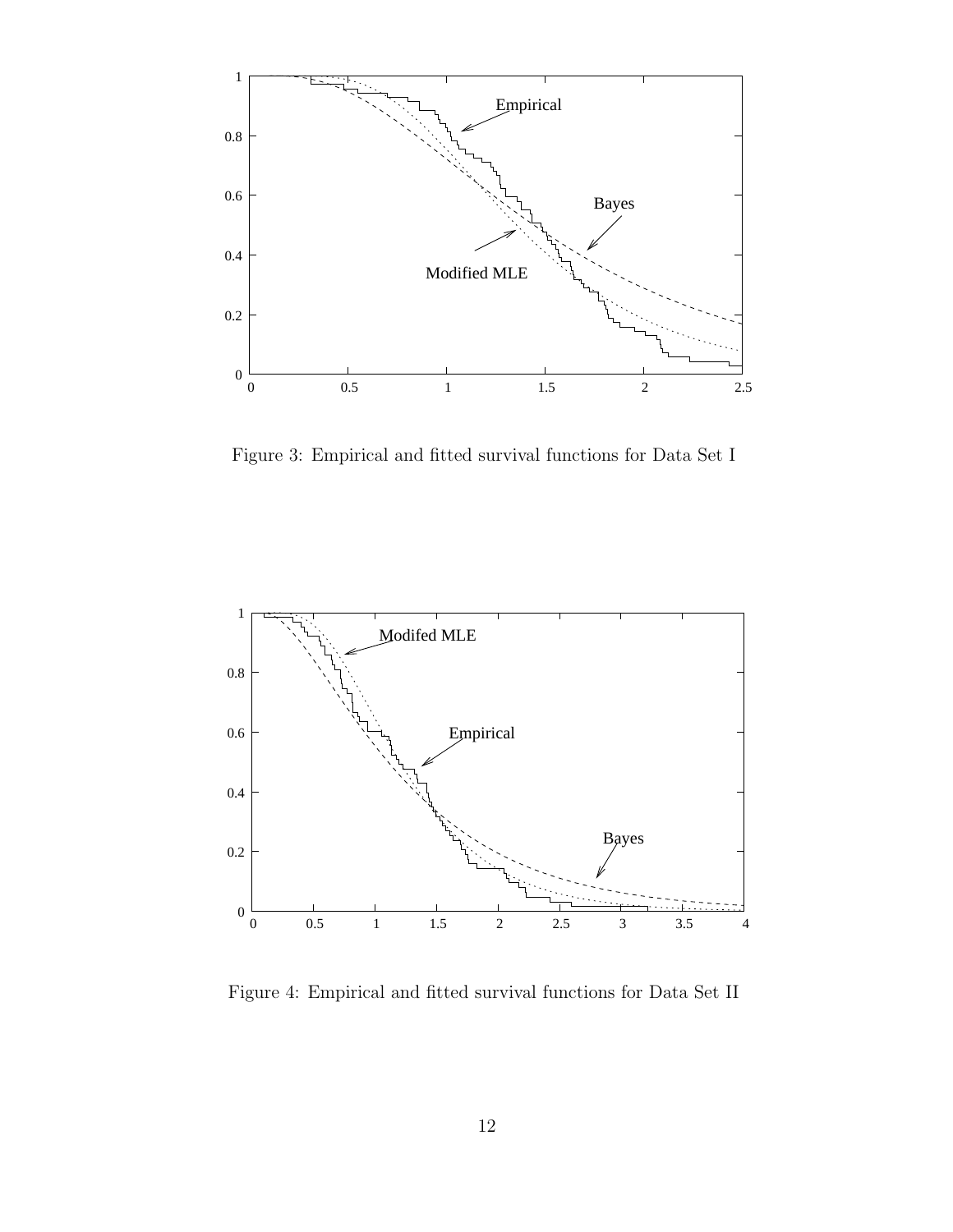

Figure 3: Empirical and fitted survival functions for Data Set I



Figure 4: Empirical and fitted survival functions for Data Set II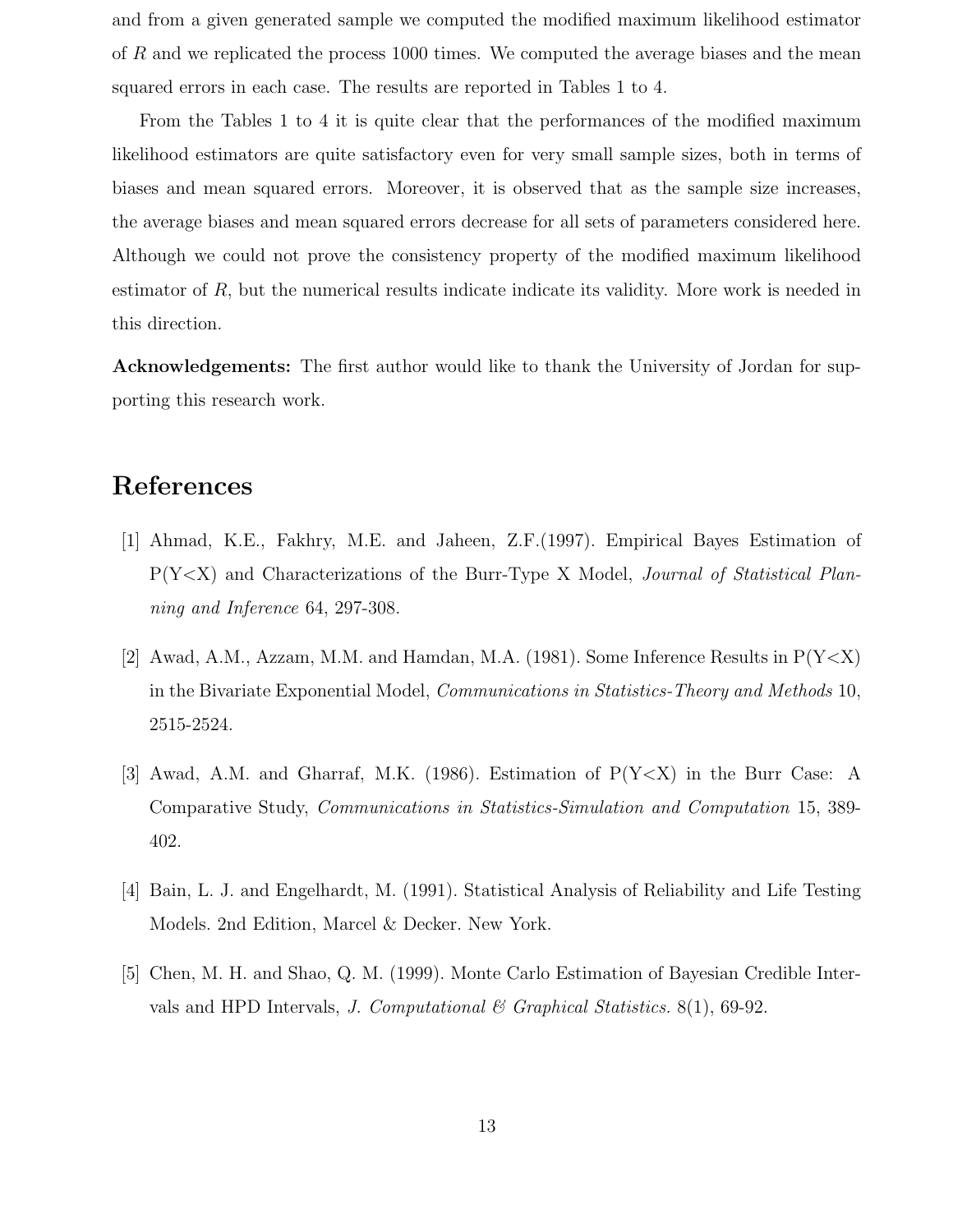and from a given generated sample we computed the modified maximum likelihood estimator of R and we replicated the process 1000 times. We computed the average biases and the mean squared errors in each case. The results are reported in Tables 1 to 4.

From the Tables 1 to 4 it is quite clear that the performances of the modified maximum likelihood estimators are quite satisfactory even for very small sample sizes, both in terms of biases and mean squared errors. Moreover, it is observed that as the sample size increases, the average biases and mean squared errors decrease for all sets of parameters considered here. Although we could not prove the consistency property of the modified maximum likelihood estimator of R, but the numerical results indicate indicate its validity. More work is needed in this direction.

Acknowledgements: The first author would like to thank the University of Jordan for supporting this research work.

## References

- [1] Ahmad, K.E., Fakhry, M.E. and Jaheen, Z.F.(1997). Empirical Bayes Estimation of P(Y<X) and Characterizations of the Burr-Type X Model, Journal of Statistical Planning and Inference 64, 297-308.
- [2] Awad, A.M., Azzam, M.M. and Hamdan, M.A. (1981). Some Inference Results in  $P(Y < X)$ in the Bivariate Exponential Model, *Communications in Statistics-Theory and Methods* 10, 2515-2524.
- [3] Awad, A.M. and Gharraf, M.K. (1986). Estimation of  $P(Y < X)$  in the Burr Case: A Comparative Study, Communications in Statistics-Simulation and Computation 15, 389- 402.
- [4] Bain, L. J. and Engelhardt, M. (1991). Statistical Analysis of Reliability and Life Testing Models. 2nd Edition, Marcel & Decker. New York.
- [5] Chen, M. H. and Shao, Q. M. (1999). Monte Carlo Estimation of Bayesian Credible Intervals and HPD Intervals, J. Computational & Graphical Statistics.  $8(1)$ , 69-92.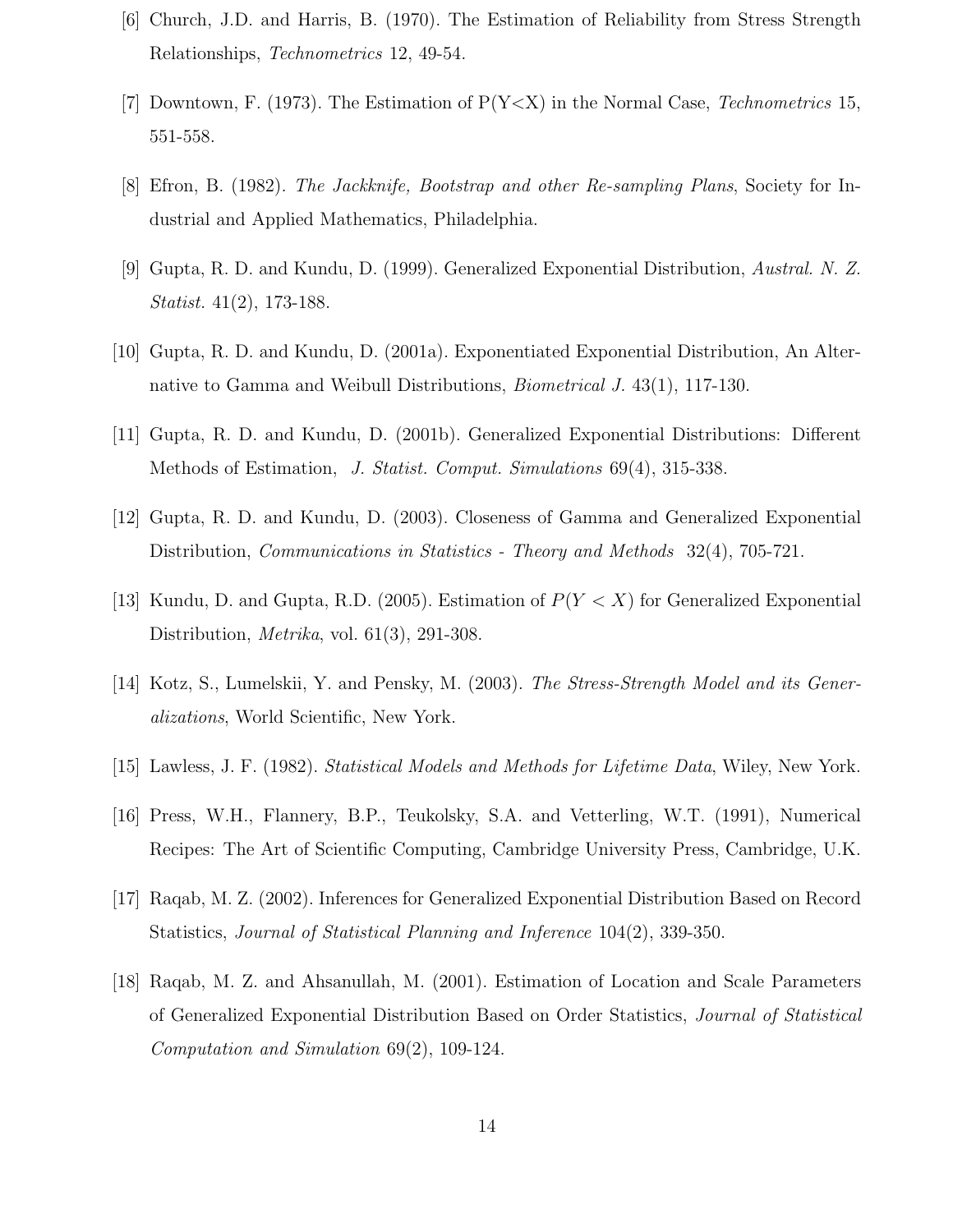- [6] Church, J.D. and Harris, B. (1970). The Estimation of Reliability from Stress Strength Relationships, Technometrics 12, 49-54.
- [7] Downtown, F. (1973). The Estimation of  $P(Y \le X)$  in the Normal Case, Technometrics 15, 551-558.
- [8] Efron, B. (1982). The Jackknife, Bootstrap and other Re-sampling Plans, Society for Industrial and Applied Mathematics, Philadelphia.
- [9] Gupta, R. D. and Kundu, D. (1999). Generalized Exponential Distribution, Austral. N. Z. Statist. 41(2), 173-188.
- [10] Gupta, R. D. and Kundu, D. (2001a). Exponentiated Exponential Distribution, An Alternative to Gamma and Weibull Distributions, Biometrical J. 43(1), 117-130.
- [11] Gupta, R. D. and Kundu, D. (2001b). Generalized Exponential Distributions: Different Methods of Estimation, J. Statist. Comput. Simulations 69(4), 315-338.
- [12] Gupta, R. D. and Kundu, D. (2003). Closeness of Gamma and Generalized Exponential Distribution, *Communications in Statistics - Theory and Methods* 32(4), 705-721.
- [13] Kundu, D. and Gupta, R.D. (2005). Estimation of  $P(Y < X)$  for Generalized Exponential Distribution, *Metrika*, vol. 61(3), 291-308.
- [14] Kotz, S., Lumelskii, Y. and Pensky, M. (2003). The Stress-Strength Model and its Generalizations, World Scientific, New York.
- [15] Lawless, J. F. (1982). Statistical Models and Methods for Lifetime Data, Wiley, New York.
- [16] Press, W.H., Flannery, B.P., Teukolsky, S.A. and Vetterling, W.T. (1991), Numerical Recipes: The Art of Scientific Computing, Cambridge University Press, Cambridge, U.K.
- [17] Raqab, M. Z. (2002). Inferences for Generalized Exponential Distribution Based on Record Statistics, Journal of Statistical Planning and Inference 104(2), 339-350.
- [18] Raqab, M. Z. and Ahsanullah, M. (2001). Estimation of Location and Scale Parameters of Generalized Exponential Distribution Based on Order Statistics, Journal of Statistical Computation and Simulation 69(2), 109-124.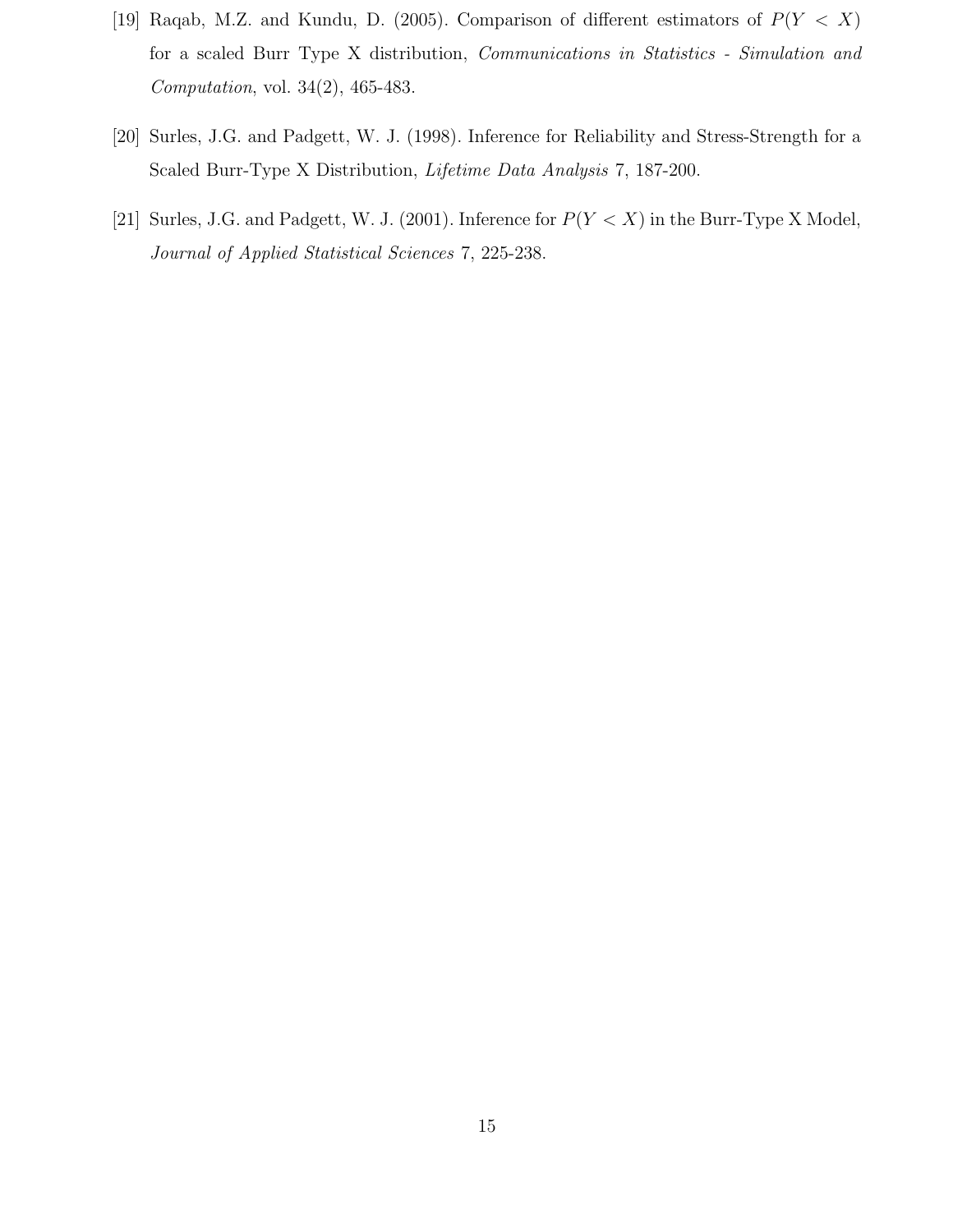- [19] Raqab, M.Z. and Kundu, D. (2005). Comparison of different estimators of  $P(Y < X)$ for a scaled Burr Type X distribution, Communications in Statistics - Simulation and Computation, vol. 34(2), 465-483.
- [20] Surles, J.G. and Padgett, W. J. (1998). Inference for Reliability and Stress-Strength for a Scaled Burr-Type X Distribution, Lifetime Data Analysis 7, 187-200.
- [21] Surles, J.G. and Padgett, W. J. (2001). Inference for  $P(Y < X)$  in the Burr-Type X Model, Journal of Applied Statistical Sciences 7, 225-238.